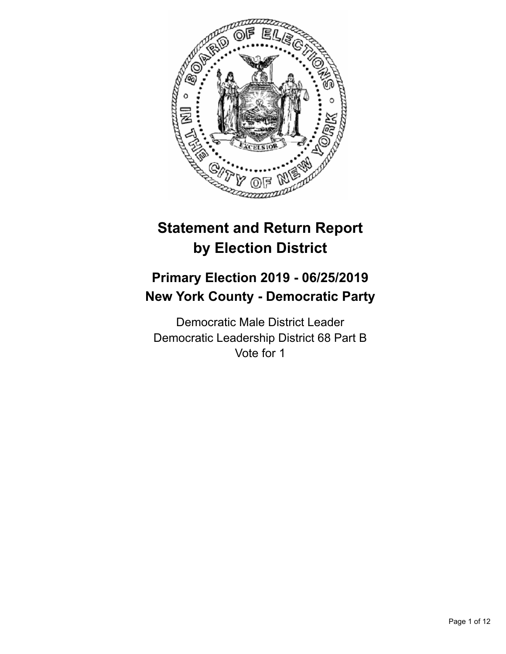

# **Statement and Return Report by Election District**

## **Primary Election 2019 - 06/25/2019 New York County - Democratic Party**

Democratic Male District Leader Democratic Leadership District 68 Part B Vote for 1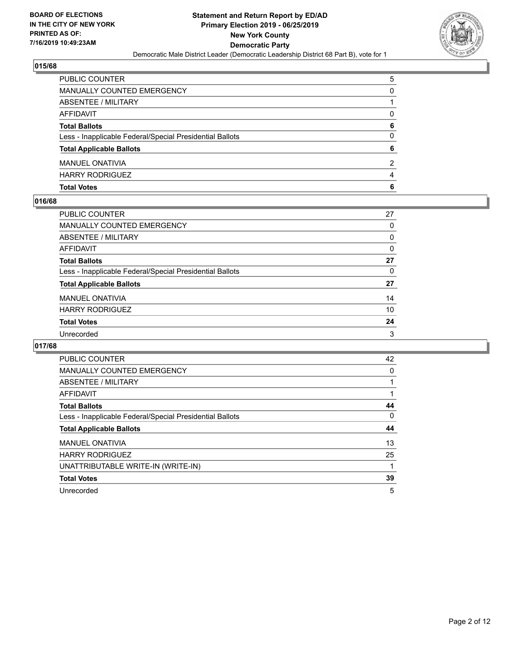

| PUBLIC COUNTER                                           | 5 |
|----------------------------------------------------------|---|
| MANUALLY COUNTED EMERGENCY                               | 0 |
| ABSENTEE / MILITARY                                      |   |
| AFFIDAVIT                                                | 0 |
| <b>Total Ballots</b>                                     | 6 |
| Less - Inapplicable Federal/Special Presidential Ballots | 0 |
| <b>Total Applicable Ballots</b>                          | 6 |
| <b>MANUEL ONATIVIA</b>                                   | 2 |
| <b>HARRY RODRIGUEZ</b>                                   | 4 |
| <b>Total Votes</b>                                       | 6 |

#### **016/68**

| PUBLIC COUNTER                                           | 27       |
|----------------------------------------------------------|----------|
| <b>MANUALLY COUNTED EMERGENCY</b>                        | 0        |
| ABSENTEE / MILITARY                                      | 0        |
| <b>AFFIDAVIT</b>                                         | 0        |
| <b>Total Ballots</b>                                     | 27       |
| Less - Inapplicable Federal/Special Presidential Ballots | $\Omega$ |
| <b>Total Applicable Ballots</b>                          | 27       |
| <b>MANUEL ONATIVIA</b>                                   | 14       |
| <b>HARRY RODRIGUEZ</b>                                   | 10       |
| <b>Total Votes</b>                                       | 24       |
| Unrecorded                                               | 3        |
|                                                          |          |

| PUBLIC COUNTER                                           | 42 |
|----------------------------------------------------------|----|
| <b>MANUALLY COUNTED EMERGENCY</b>                        | 0  |
| ABSENTEE / MILITARY                                      |    |
| AFFIDAVIT                                                |    |
| <b>Total Ballots</b>                                     | 44 |
| Less - Inapplicable Federal/Special Presidential Ballots | 0  |
| <b>Total Applicable Ballots</b>                          | 44 |
| <b>MANUEL ONATIVIA</b>                                   | 13 |
|                                                          |    |
| <b>HARRY RODRIGUEZ</b>                                   | 25 |
| UNATTRIBUTABLE WRITE-IN (WRITE-IN)                       |    |
| <b>Total Votes</b>                                       | 39 |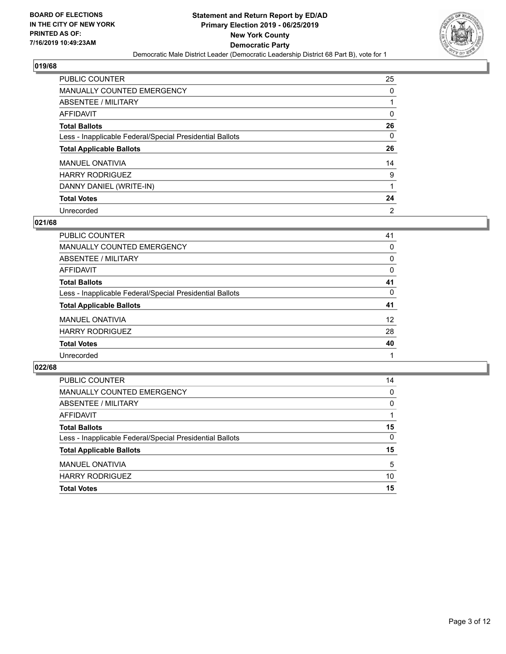

| <b>PUBLIC COUNTER</b>                                    | 25             |
|----------------------------------------------------------|----------------|
| MANUALLY COUNTED EMERGENCY                               | 0              |
| ABSENTEE / MILITARY                                      |                |
| AFFIDAVIT                                                | 0              |
| <b>Total Ballots</b>                                     | 26             |
| Less - Inapplicable Federal/Special Presidential Ballots | 0              |
| <b>Total Applicable Ballots</b>                          | 26             |
| <b>MANUEL ONATIVIA</b>                                   | 14             |
| <b>HARRY RODRIGUEZ</b>                                   | 9              |
| DANNY DANIEL (WRITE-IN)                                  |                |
| <b>Total Votes</b>                                       | 24             |
| Unrecorded                                               | $\overline{2}$ |

#### **021/68**

| <b>PUBLIC COUNTER</b>                                    | 41       |
|----------------------------------------------------------|----------|
| <b>MANUALLY COUNTED EMERGENCY</b>                        | 0        |
| ABSENTEE / MILITARY                                      | 0        |
| AFFIDAVIT                                                | $\Omega$ |
| <b>Total Ballots</b>                                     | 41       |
| Less - Inapplicable Federal/Special Presidential Ballots | 0        |
| <b>Total Applicable Ballots</b>                          | 41       |
| <b>MANUEL ONATIVIA</b>                                   | 12       |
| <b>HARRY RODRIGUEZ</b>                                   | 28       |
| <b>Total Votes</b>                                       | 40       |
| Unrecorded                                               |          |

| PUBLIC COUNTER                                           | 14       |
|----------------------------------------------------------|----------|
| MANUALLY COUNTED EMERGENCY                               | $\Omega$ |
| ABSENTEE / MILITARY                                      | $\Omega$ |
| AFFIDAVIT                                                |          |
| <b>Total Ballots</b>                                     | 15       |
| Less - Inapplicable Federal/Special Presidential Ballots | $\Omega$ |
| <b>Total Applicable Ballots</b>                          | 15       |
| MANUEL ONATIVIA                                          | 5        |
| <b>HARRY RODRIGUEZ</b>                                   | 10       |
| <b>Total Votes</b>                                       | 15       |
|                                                          |          |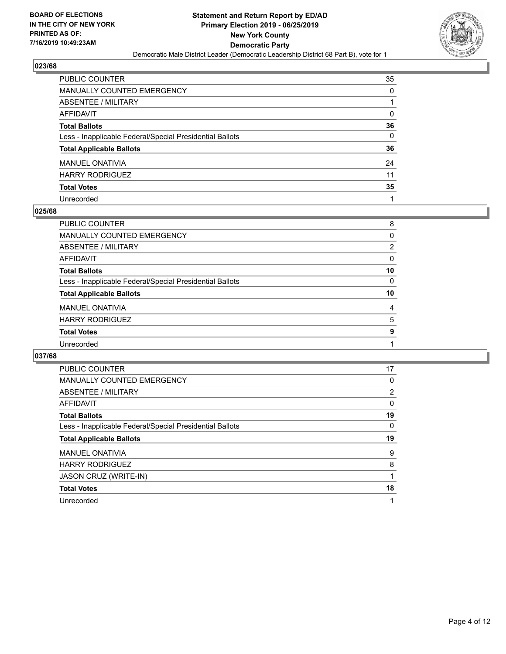

| PUBLIC COUNTER                                           | 35       |
|----------------------------------------------------------|----------|
| <b>MANUALLY COUNTED EMERGENCY</b>                        | 0        |
| <b>ABSENTEE / MILITARY</b>                               |          |
| <b>AFFIDAVIT</b>                                         | $\Omega$ |
| <b>Total Ballots</b>                                     | 36       |
| Less - Inapplicable Federal/Special Presidential Ballots | $\Omega$ |
| <b>Total Applicable Ballots</b>                          | 36       |
| <b>MANUEL ONATIVIA</b>                                   | 24       |
| <b>HARRY RODRIGUEZ</b>                                   | 11       |
| <b>Total Votes</b>                                       | 35       |
| Unrecorded                                               |          |

#### **025/68**

| <b>PUBLIC COUNTER</b>                                    | 8        |
|----------------------------------------------------------|----------|
| <b>MANUALLY COUNTED EMERGENCY</b>                        | 0        |
| ABSENTEE / MILITARY                                      | 2        |
| AFFIDAVIT                                                | $\Omega$ |
| <b>Total Ballots</b>                                     | 10       |
| Less - Inapplicable Federal/Special Presidential Ballots | 0        |
| <b>Total Applicable Ballots</b>                          | 10       |
| <b>MANUEL ONATIVIA</b>                                   | 4        |
| <b>HARRY RODRIGUEZ</b>                                   | 5        |
| <b>Total Votes</b>                                       | 9        |
| Unrecorded                                               |          |
|                                                          |          |

| PUBLIC COUNTER                                           | 17 |
|----------------------------------------------------------|----|
| <b>MANUALLY COUNTED EMERGENCY</b>                        | 0  |
| ABSENTEE / MILITARY                                      | 2  |
| AFFIDAVIT                                                | 0  |
| <b>Total Ballots</b>                                     | 19 |
| Less - Inapplicable Federal/Special Presidential Ballots | 0  |
|                                                          |    |
| <b>Total Applicable Ballots</b>                          | 19 |
| <b>MANUEL ONATIVIA</b>                                   | 9  |
| <b>HARRY RODRIGUEZ</b>                                   | 8  |
| <b>JASON CRUZ (WRITE-IN)</b>                             |    |
| <b>Total Votes</b>                                       | 18 |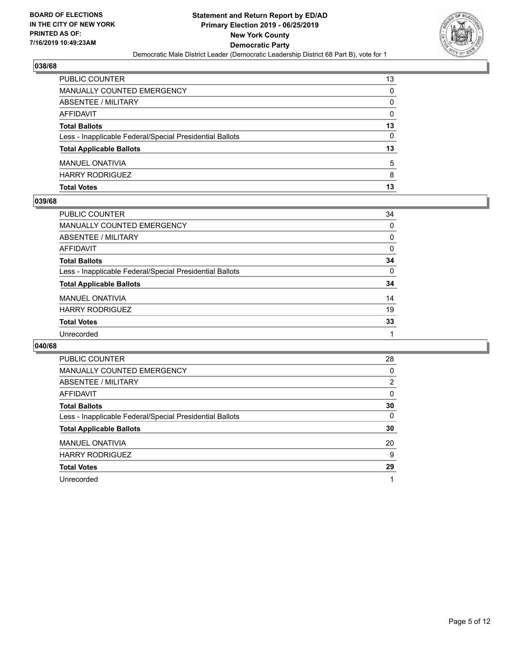

| <b>PUBLIC COUNTER</b>                                    | 13       |
|----------------------------------------------------------|----------|
| <b>MANUALLY COUNTED EMERGENCY</b>                        | 0        |
| ABSENTEE / MILITARY                                      | 0        |
| AFFIDAVIT                                                | $\Omega$ |
| <b>Total Ballots</b>                                     | 13       |
| Less - Inapplicable Federal/Special Presidential Ballots | 0        |
| <b>Total Applicable Ballots</b>                          | 13       |
| <b>MANUEL ONATIVIA</b>                                   | 5        |
| <b>HARRY RODRIGUEZ</b>                                   | 8        |
| <b>Total Votes</b>                                       | 13       |

#### **039/68**

| PUBLIC COUNTER                                           | 34       |
|----------------------------------------------------------|----------|
| MANUALLY COUNTED EMERGENCY                               | $\Omega$ |
| <b>ABSENTEE / MILITARY</b>                               | 0        |
| AFFIDAVIT                                                | 0        |
| <b>Total Ballots</b>                                     | 34       |
| Less - Inapplicable Federal/Special Presidential Ballots | $\Omega$ |
| <b>Total Applicable Ballots</b>                          | 34       |
| <b>MANUEL ONATIVIA</b>                                   | 14       |
| <b>HARRY RODRIGUEZ</b>                                   | 19       |
| <b>Total Votes</b>                                       | 33       |
| Unrecorded                                               |          |
|                                                          |          |

| <b>PUBLIC COUNTER</b>                                    | 28       |
|----------------------------------------------------------|----------|
| <b>MANUALLY COUNTED EMERGENCY</b>                        | 0        |
| ABSENTEE / MILITARY                                      | 2        |
| AFFIDAVIT                                                | $\Omega$ |
| <b>Total Ballots</b>                                     | 30       |
| Less - Inapplicable Federal/Special Presidential Ballots | $\Omega$ |
| <b>Total Applicable Ballots</b>                          | 30       |
| <b>MANUEL ONATIVIA</b>                                   | 20       |
| <b>HARRY RODRIGUEZ</b>                                   | 9        |
| <b>Total Votes</b>                                       | 29       |
| Unrecorded                                               |          |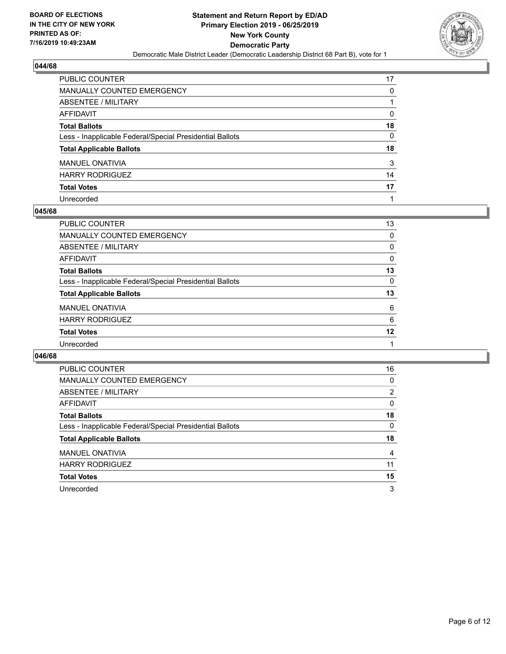

| PUBLIC COUNTER                                           | 17       |
|----------------------------------------------------------|----------|
| <b>MANUALLY COUNTED EMERGENCY</b>                        | 0        |
| ABSENTEE / MILITARY                                      |          |
| <b>AFFIDAVIT</b>                                         | 0        |
| <b>Total Ballots</b>                                     | 18       |
| Less - Inapplicable Federal/Special Presidential Ballots | $\Omega$ |
| <b>Total Applicable Ballots</b>                          | 18       |
| <b>MANUEL ONATIVIA</b>                                   | 3        |
| <b>HARRY RODRIGUEZ</b>                                   | 14       |
| <b>Total Votes</b>                                       | 17       |
| Unrecorded                                               |          |

#### **045/68**

| <b>PUBLIC COUNTER</b>                                    | 13       |
|----------------------------------------------------------|----------|
| <b>MANUALLY COUNTED EMERGENCY</b>                        | 0        |
| ABSENTEE / MILITARY                                      | 0        |
| AFFIDAVIT                                                | $\Omega$ |
| <b>Total Ballots</b>                                     | 13       |
| Less - Inapplicable Federal/Special Presidential Ballots | 0        |
| <b>Total Applicable Ballots</b>                          | 13       |
| <b>MANUEL ONATIVIA</b>                                   | 6        |
| <b>HARRY RODRIGUEZ</b>                                   | 6        |
| <b>Total Votes</b>                                       | 12       |
| Unrecorded                                               |          |
|                                                          |          |

| <b>PUBLIC COUNTER</b>                                    | 16             |
|----------------------------------------------------------|----------------|
| <b>MANUALLY COUNTED EMERGENCY</b>                        | 0              |
| ABSENTEE / MILITARY                                      | $\overline{2}$ |
| AFFIDAVIT                                                | 0              |
| <b>Total Ballots</b>                                     | 18             |
| Less - Inapplicable Federal/Special Presidential Ballots | $\Omega$       |
| <b>Total Applicable Ballots</b>                          | 18             |
| <b>MANUEL ONATIVIA</b>                                   | 4              |
| <b>HARRY RODRIGUEZ</b>                                   | 11             |
| <b>Total Votes</b>                                       | 15             |
| Unrecorded                                               | 3              |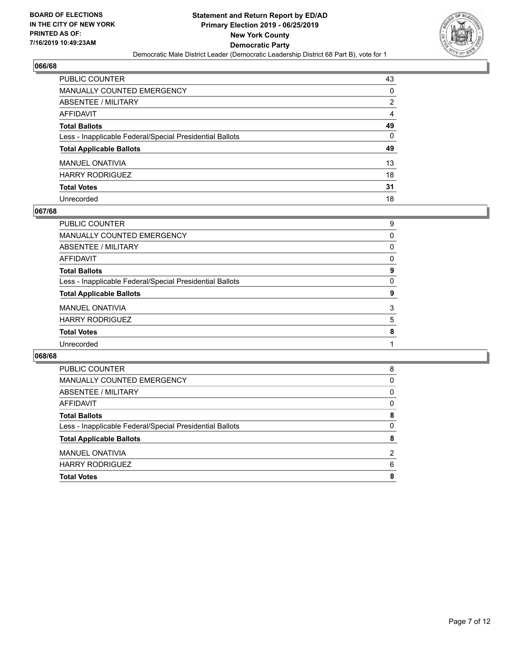

| PUBLIC COUNTER                                           | 43 |
|----------------------------------------------------------|----|
| <b>MANUALLY COUNTED EMERGENCY</b>                        | 0  |
| ABSENTEE / MILITARY                                      | 2  |
| AFFIDAVIT                                                | 4  |
| <b>Total Ballots</b>                                     | 49 |
| Less - Inapplicable Federal/Special Presidential Ballots | 0  |
| <b>Total Applicable Ballots</b>                          | 49 |
| <b>MANUEL ONATIVIA</b>                                   | 13 |
| <b>HARRY RODRIGUEZ</b>                                   | 18 |
| <b>Total Votes</b>                                       | 31 |
| Unrecorded                                               | 18 |

#### **067/68**

| 9        |
|----------|
| $\Omega$ |
| 0        |
| 0        |
| 9        |
| $\Omega$ |
| 9        |
| 3        |
| 5        |
| 8        |
|          |
|          |

| <b>Total Votes</b>                                       | 8             |
|----------------------------------------------------------|---------------|
| <b>HARRY RODRIGUEZ</b>                                   | 6             |
| <b>MANUEL ONATIVIA</b>                                   | $\mathcal{P}$ |
| <b>Total Applicable Ballots</b>                          | 8             |
| Less - Inapplicable Federal/Special Presidential Ballots | 0             |
| <b>Total Ballots</b>                                     | 8             |
| AFFIDAVIT                                                | 0             |
| ABSENTEE / MILITARY                                      | 0             |
| <b>MANUALLY COUNTED EMERGENCY</b>                        | 0             |
| PUBLIC COUNTER                                           | 8             |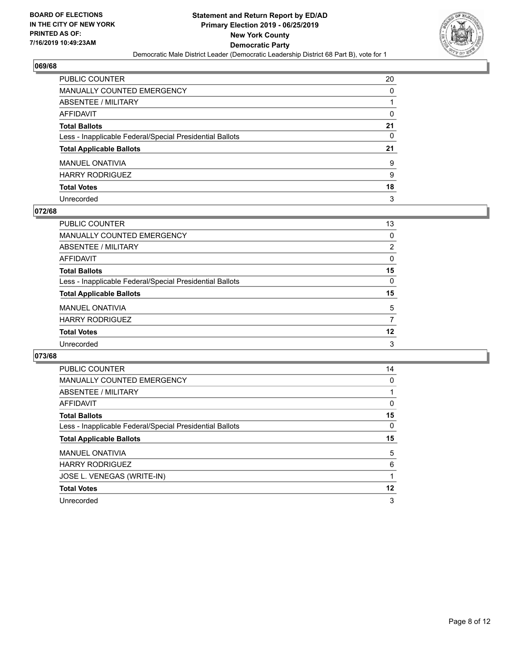

| PUBLIC COUNTER                                           | 20 |
|----------------------------------------------------------|----|
| <b>MANUALLY COUNTED EMERGENCY</b>                        | 0  |
| ABSENTEE / MILITARY                                      |    |
| AFFIDAVIT                                                | 0  |
| <b>Total Ballots</b>                                     | 21 |
| Less - Inapplicable Federal/Special Presidential Ballots | 0  |
| <b>Total Applicable Ballots</b>                          | 21 |
| <b>MANUEL ONATIVIA</b>                                   | 9  |
| <b>HARRY RODRIGUEZ</b>                                   | 9  |
| <b>Total Votes</b>                                       | 18 |
| Unrecorded                                               | 3  |

#### **072/68**

| <b>PUBLIC COUNTER</b>                                    | 13             |
|----------------------------------------------------------|----------------|
| <b>MANUALLY COUNTED EMERGENCY</b>                        | $\Omega$       |
| <b>ABSENTEE / MILITARY</b>                               | $\overline{2}$ |
| AFFIDAVIT                                                | 0              |
| <b>Total Ballots</b>                                     | 15             |
| Less - Inapplicable Federal/Special Presidential Ballots | $\Omega$       |
| <b>Total Applicable Ballots</b>                          | 15             |
| <b>MANUEL ONATIVIA</b>                                   | 5              |
| <b>HARRY RODRIGUEZ</b>                                   | 7              |
| <b>Total Votes</b>                                       | 12             |
| Unrecorded                                               | 3              |

| <b>PUBLIC COUNTER</b>                                    | 14 |
|----------------------------------------------------------|----|
| <b>MANUALLY COUNTED EMERGENCY</b>                        | 0  |
| ABSENTEE / MILITARY                                      |    |
| <b>AFFIDAVIT</b>                                         | 0  |
| <b>Total Ballots</b>                                     | 15 |
| Less - Inapplicable Federal/Special Presidential Ballots | 0  |
|                                                          |    |
| <b>Total Applicable Ballots</b>                          | 15 |
| <b>MANUEL ONATIVIA</b>                                   | 5  |
| <b>HARRY RODRIGUEZ</b>                                   | 6  |
| JOSE L. VENEGAS (WRITE-IN)                               |    |
| <b>Total Votes</b>                                       | 12 |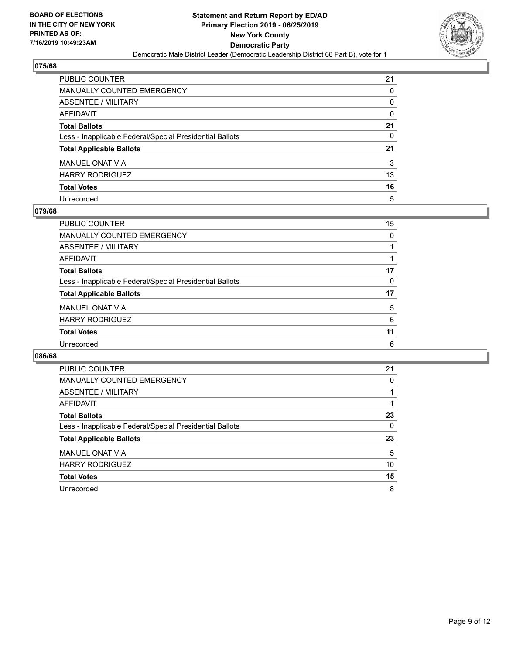

| PUBLIC COUNTER                                           | 21 |
|----------------------------------------------------------|----|
| <b>MANUALLY COUNTED EMERGENCY</b>                        | 0  |
| ABSENTEE / MILITARY                                      | 0  |
| AFFIDAVIT                                                | 0  |
| <b>Total Ballots</b>                                     | 21 |
| Less - Inapplicable Federal/Special Presidential Ballots | 0  |
| <b>Total Applicable Ballots</b>                          | 21 |
| <b>MANUEL ONATIVIA</b>                                   | 3  |
| <b>HARRY RODRIGUEZ</b>                                   | 13 |
| <b>Total Votes</b>                                       | 16 |
| Unrecorded                                               | 5  |

#### **079/68**

| PUBLIC COUNTER                                           | 15       |
|----------------------------------------------------------|----------|
| <b>MANUALLY COUNTED EMERGENCY</b>                        | $\Omega$ |
| ABSENTEE / MILITARY                                      |          |
| AFFIDAVIT                                                |          |
| <b>Total Ballots</b>                                     | 17       |
| Less - Inapplicable Federal/Special Presidential Ballots | 0        |
| <b>Total Applicable Ballots</b>                          | 17       |
| <b>MANUEL ONATIVIA</b>                                   | 5        |
| <b>HARRY RODRIGUEZ</b>                                   | 6        |
| <b>Total Votes</b>                                       | 11       |
| Unrecorded                                               | 6        |

| <b>PUBLIC COUNTER</b>                                    | 21 |
|----------------------------------------------------------|----|
| MANUALLY COUNTED EMERGENCY                               | 0  |
| ABSENTEE / MILITARY                                      |    |
| AFFIDAVIT                                                |    |
| <b>Total Ballots</b>                                     | 23 |
| Less - Inapplicable Federal/Special Presidential Ballots | 0  |
| <b>Total Applicable Ballots</b>                          | 23 |
| <b>MANUEL ONATIVIA</b>                                   | 5  |
| <b>HARRY RODRIGUEZ</b>                                   | 10 |
| <b>Total Votes</b>                                       | 15 |
| Unrecorded                                               | 8  |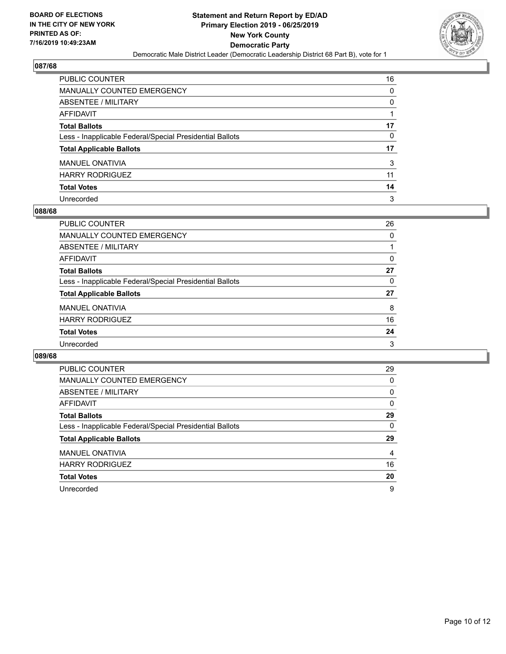

| PUBLIC COUNTER                                           | 16 |
|----------------------------------------------------------|----|
| <b>MANUALLY COUNTED EMERGENCY</b>                        | 0  |
| <b>ABSENTEE / MILITARY</b>                               | 0  |
| <b>AFFIDAVIT</b>                                         |    |
| <b>Total Ballots</b>                                     | 17 |
| Less - Inapplicable Federal/Special Presidential Ballots | 0  |
| <b>Total Applicable Ballots</b>                          | 17 |
| <b>MANUEL ONATIVIA</b>                                   | 3  |
| <b>HARRY RODRIGUEZ</b>                                   | 11 |
| <b>Total Votes</b>                                       | 14 |
| Unrecorded                                               | 3  |

#### **088/68**

| <b>PUBLIC COUNTER</b>                                    | 26       |
|----------------------------------------------------------|----------|
| <b>MANUALLY COUNTED EMERGENCY</b>                        | 0        |
| ABSENTEE / MILITARY                                      |          |
| AFFIDAVIT                                                | $\Omega$ |
| <b>Total Ballots</b>                                     | 27       |
| Less - Inapplicable Federal/Special Presidential Ballots | 0        |
| <b>Total Applicable Ballots</b>                          | 27       |
| <b>MANUEL ONATIVIA</b>                                   | 8        |
| <b>HARRY RODRIGUEZ</b>                                   | 16       |
| <b>Total Votes</b>                                       | 24       |
| Unrecorded                                               | 3        |

| <b>PUBLIC COUNTER</b>                                    | 29       |
|----------------------------------------------------------|----------|
| <b>MANUALLY COUNTED EMERGENCY</b>                        | $\Omega$ |
| <b>ABSENTEE / MILITARY</b>                               | $\Omega$ |
| AFFIDAVIT                                                | $\Omega$ |
| <b>Total Ballots</b>                                     | 29       |
| Less - Inapplicable Federal/Special Presidential Ballots | 0        |
| <b>Total Applicable Ballots</b>                          | 29       |
| <b>MANUEL ONATIVIA</b>                                   | 4        |
| <b>HARRY RODRIGUEZ</b>                                   | 16       |
| <b>Total Votes</b>                                       | 20       |
|                                                          |          |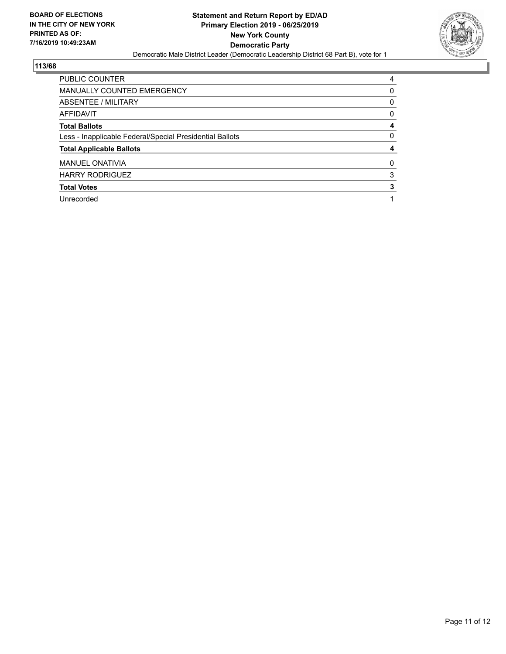

| PUBLIC COUNTER                                           | 4 |
|----------------------------------------------------------|---|
| <b>MANUALLY COUNTED EMERGENCY</b>                        | 0 |
| ABSENTEE / MILITARY                                      | 0 |
| <b>AFFIDAVIT</b>                                         | 0 |
| <b>Total Ballots</b>                                     | 4 |
| Less - Inapplicable Federal/Special Presidential Ballots | 0 |
| <b>Total Applicable Ballots</b>                          | 4 |
| <b>MANUEL ONATIVIA</b>                                   | 0 |
| <b>HARRY RODRIGUEZ</b>                                   | 3 |
| <b>Total Votes</b>                                       | 3 |
| Unrecorded                                               |   |